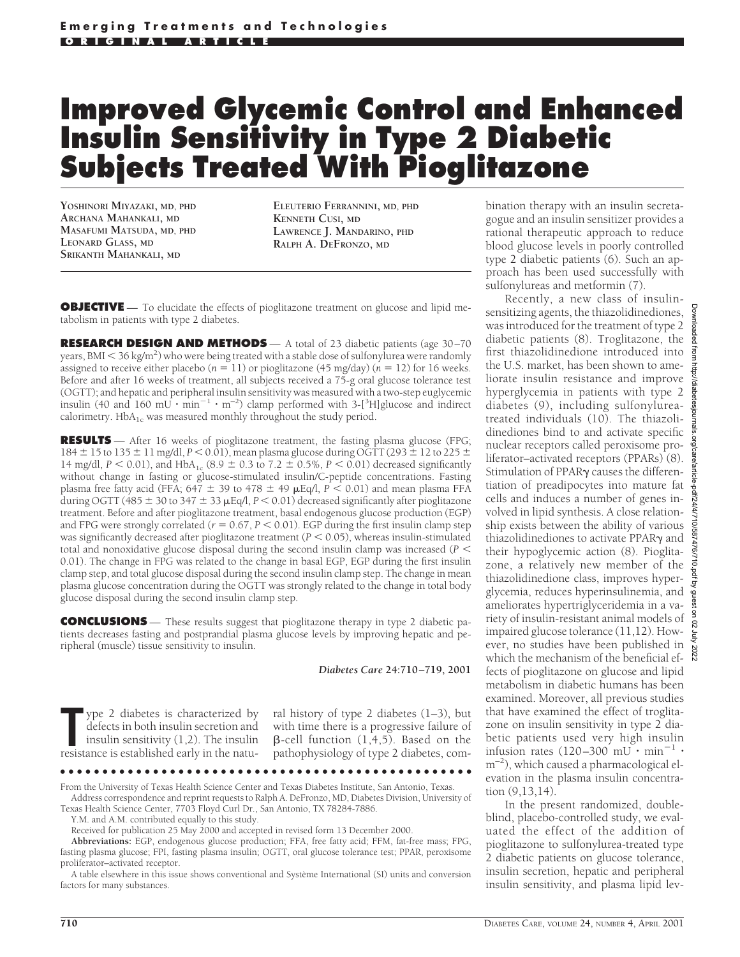# **Improved Glycemic Control and Enhanced Insulin Sensitivity in Type 2 Diabetic Subjects Treated With Pioglitazone**

**YOSHINORI MIYAZAKI, MD, PHD ARCHANA MAHANKALI, MD MASAFUMI MATSUDA, MD, PHD LEONARD GLASS, MD SRIKANTH MAHANKALI, MD**

**ELEUTERIO FERRANNINI, MD, PHD KENNETH CUSI, MD LAWRENCE J. MANDARINO, PHD RALPH A. DEFRONZO, MD**

**OBJECTIVE** — To elucidate the effects of pioglitazone treatment on glucose and lipid metabolism in patients with type 2 diabetes.

**RESEARCH DESIGN AND METHODS** — A total of 23 diabetic patients (age 30-70 years, BMI  $<$  36 kg/m<sup>2</sup>) who were being treated with a stable dose of sulfony $\overline{\rm{}l}$ urea were randomly assigned to receive either placebo ( $n = 11$ ) or pioglitazone (45 mg/day) ( $n = 12$ ) for 16 weeks. Before and after 16 weeks of treatment, all subjects received a 75-g oral glucose tolerance test (OGTT); and hepatic and peripheral insulin sensitivity was measured with a two-step euglycemic insulin (40 and 160  $\text{mU}\cdot \text{min}^{-1}\cdot \text{m}^{-2}$ ) clamp performed with 3-[<sup>3</sup>H]glucose and indirect calorimetry.  $HbA_{1c}$  was measured monthly throughout the study period.

**RESULTS** — After 16 weeks of pioglitazone treatment, the fasting plasma glucose (FPG; 184 ± 15 to 135 ± 11 mg/dl, *P* < 0.01), mean plasma glucose during OGTT (293 ± 12 to 225 ± 14 mg/dl,  $P < 0.01$ ), and HbA<sub>1c</sub> (8.9  $\pm$  0.3 to 7.2  $\pm$  0.5%,  $P < 0.01$ ) decreased significantly without change in fasting or glucose-stimulated insulin/C-peptide concentrations. Fasting plasma free fatty acid (FFA; 647  $\pm$  39 to 478  $\pm$  49  $\mu$ Eq/l, *P* < 0.01) and mean plasma FFA during OGTT (485  $\pm$  30 to 347  $\pm$  33  $\mu$ Eq/l, *P* < 0.01) decreased significantly after pioglitazone treatment. Before and after pioglitazone treatment, basal endogenous glucose production (EGP) and FPG were strongly correlated ( $r = 0.67$ ,  $P < 0.01$ ). EGP during the first insulin clamp step was significantly decreased after pioglitazone treatment ( $P < 0.05$ ), whereas insulin-stimulated total and nonoxidative glucose disposal during the second insulin clamp was increased ( $P \leq$ 0.01). The change in FPG was related to the change in basal EGP, EGP during the first insulin clamp step, and total glucose disposal during the second insulin clamp step. The change in mean plasma glucose concentration during the OGTT was strongly related to the change in total body glucose disposal during the second insulin clamp step.

**CONCLUSIONS** — These results suggest that pioglitazone therapy in type 2 diabetic patients decreases fasting and postprandial plasma glucose levels by improving hepatic and peripheral (muscle) tissue sensitivity to insulin.

*Diabetes Care* **24:710–719, 2001**

The person of the sistemator is characterized by defects in both insulin secretion and insulin sensitivity (1,2). The insulin resistance is established early in the natuype 2 diabetes is characterized by defects in both insulin secretion and insulin sensitivity (1,2). The insulin ral history of type 2 diabetes  $(1-3)$ , but with time there is a progressive failure of  $\beta$ -cell function  $(1, 4, 5)$ . Based on the pathophysiology of type 2 diabetes, com-

●●●●●●●●●●●●●●●●●●●●●●●●●●●●●●●●●●●●●●●●●●●●●●●●● From the University of Texas Health Science Center and Texas Diabetes Institute, San Antonio, Texas. Address correspondence and reprint requests to Ralph A. DeFronzo, MD, Diabetes Division, University of

Texas Health Science Center, 7703 Floyd Curl Dr., San Antonio, TX 78284-7886.

Y.M. and A.M. contributed equally to this study.

Received for publication 25 May 2000 and accepted in revised form 13 December 2000.

**Abbreviations:** EGP, endogenous glucose production; FFA, free fatty acid; FFM, fat-free mass; FPG, fasting plasma glucose; FPI, fasting plasma insulin; OGTT, oral glucose tolerance test; PPAR, peroxisome proliferator–activated receptor.

A table elsewhere in this issue shows conventional and Système International (SI) units and conversion factors for many substances.

bination therapy with an insulin secretagogue and an insulin sensitizer provides a rational therapeutic approach to reduce blood glucose levels in poorly controlled type 2 diabetic patients (6). Such an approach has been used successfully with sulfonylureas and metformin (7).

Recently, a new class of insulinsensitizing agents, the thiazolidinediones, was introduced for the treatment of type 2 diabetic patients (8). Troglitazone, the first thiazolidinedione introduced into the U.S. market, has been shown to ameliorate insulin resistance and improve hyperglycemia in patients with type 2 diabetes (9), including sulfonylureatreated individuals (10). The thiazolidinediones bind to and activate specific nuclear receptors called peroxisome proliferator–activated receptors (PPARs) (8). Stimulation of PPAR $\gamma$  causes the differentiation of preadipocytes into mature fat cells and induces a number of genes involved in lipid synthesis. A close relationship exists between the ability of various thiazolidinediones to activate  $PPAR\gamma$  and their hypoglycemic action (8). Pioglitazone, a relatively new member of the thiazolidinedione class, improves hyperthiazolidinedione class, improves hyperglycemia, reduces hyperinsulinemia, and ameliorates hypertriglyceridemia in a variety of insulin-resistant animal models of impaired glucose tolerance (11,12). However, no studies have been published in which the mechanism of the beneficial effects of pioglitazone on glucose and lipid metabolism in diabetic humans has been examined. Moreover, all previous studies that have examined the effect of troglitazone on insulin sensitivity in type 2 diabetic patients used very high insulin infusion rates  $(120-300 \text{ mU} \cdot \text{min}^{-1} \cdot$  $m^{-2}$ ), which caused a pharmacological elevation in the plasma insulin concentration (9,13,14).

In the present randomized, doubleblind, placebo-controlled study, we evaluated the effect of the addition of pioglitazone to sulfonylurea-treated type 2 diabetic patients on glucose tolerance, insulin secretion, hepatic and peripheral insulin sensitivity, and plasma lipid lev-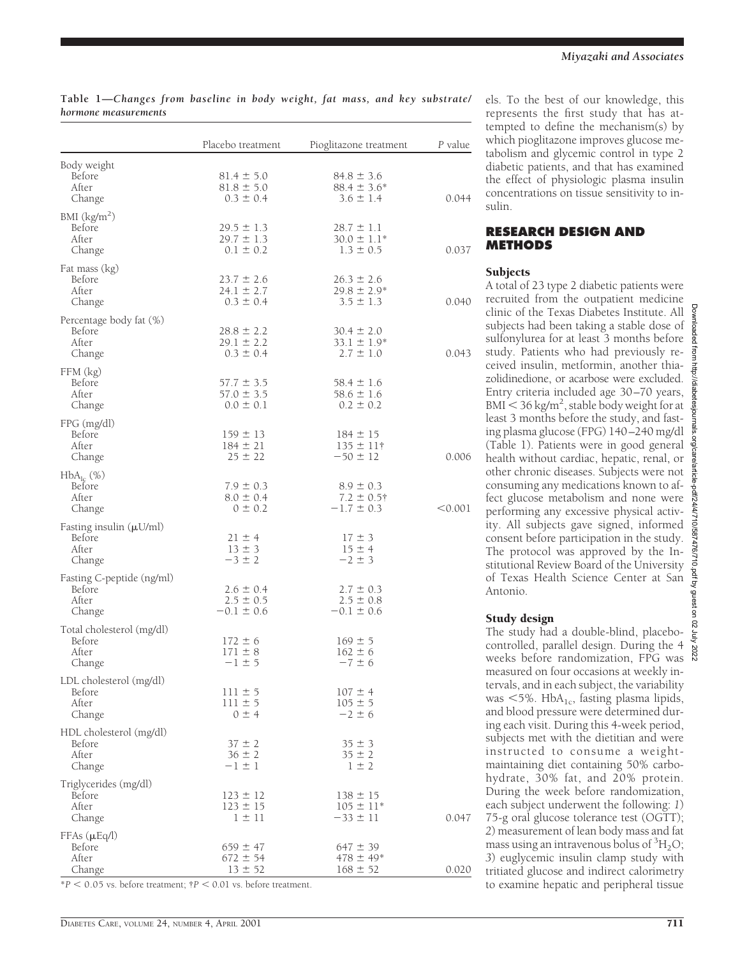|                                                           | Placebo treatment                                 | Pioglitazone treatment                              | P value |
|-----------------------------------------------------------|---------------------------------------------------|-----------------------------------------------------|---------|
| Body weight<br>Before<br>After<br>Change                  | $81.4 \pm 5.0$<br>$81.8 \pm 5.0$<br>$0.3 \pm 0.4$ | $84.8 \pm 3.6$<br>$88.4 \pm 3.6^*$<br>$3.6 \pm 1.4$ | 0.044   |
| BMI (kg/m <sup>2</sup> )<br>Before<br>After<br>Change     | $29.5 \pm 1.3$<br>$29.7 \pm 1.3$<br>$0.1 \pm 0.2$ | $28.7 \pm 1.1$<br>$30.0 \pm 1.1*$<br>$1.3 \pm 0.5$  | 0.037   |
| Fat mass (kg)<br>Before<br>After<br>Change                | $23.7 \pm 2.6$<br>$24.1 \pm 2.7$<br>$0.3 \pm 0.4$ | $26.3 \pm 2.6$<br>$29.8 \pm 2.9*$<br>$3.5 \pm 1.3$  | 0.040   |
| Percentage body fat (%)<br>Before<br>After<br>Change      | $28.8 \pm 2.2$<br>$29.1 \pm 2.2$<br>$0.3 \pm 0.4$ | $30.4 \pm 2.0$<br>$33.1 \pm 1.9^*$<br>$2.7 \pm 1.0$ | 0.043   |
| FFM (kg)<br>Before<br>After<br>Change                     | $57.7 \pm 3.5$<br>$57.0 \pm 3.5$<br>$0.0 \pm 0.1$ | $58.4 \pm 1.6$<br>$58.6 \pm 1.6$<br>$0.2 \pm 0.2$   |         |
| $FPG$ (mg/dl)<br>Before<br>After<br>Change                | $159 \pm 13$<br>$184 \pm 21$<br>$25 \pm 22$       | $184 \pm 15$<br>$135 \pm 11$ †<br>$-50 \pm 12$      | 0.006   |
| $HbA_{lc}$ (%)<br>Before<br>After<br>Change               | $7.9 \pm 0.3$<br>$8.0 \pm 0.4$<br>$0 \pm 0.2$     | $8.9 \pm 0.3$<br>$7.2 \pm 0.5$ †<br>$-1.7 \pm 0.3$  | < 0.001 |
| Fasting insulin $(\mu U/ml)$<br>Before<br>After<br>Change | $21 \pm 4$<br>$13 \pm 3$<br>$-3 \pm 2$            | $17 \pm 3$<br>$15 \pm 4$<br>$-2 \pm 3$              |         |
| Fasting C-peptide (ng/ml)<br>Before<br>After<br>Change    | $2.6 \pm 0.4$<br>$2.5 \pm 0.5$<br>$-0.1 \pm 0.6$  | $2.7 \pm 0.3$<br>$2.5 \pm 0.8$<br>$-0.1 \pm 0.6$    |         |
| Total cholesterol (mg/dl)<br>Before<br>After<br>Change    | $172 \pm 6$<br>$171 \pm 8$<br>$-1 \pm 5$          | $169 \pm 5$<br>$162 \pm 6$<br>$-7 \pm 6$            |         |
| LDL cholesterol (mg/dl)<br>Before<br>After<br>Change      | $111 \pm 5$<br>$111 \pm 5$<br>$0 \pm 4$           | $107 \pm 4$<br>$105 \pm 5$<br>$-2 \pm 6$            |         |
| HDL cholesterol (mg/dl)<br>Before<br>After<br>Change      | $37 \pm 2$<br>$36 \pm 2$<br>$-1 \pm 1$            | $35 \pm 3$<br>$35 \pm 2$<br>$1 \pm 2$               |         |
| Triglycerides (mg/dl)<br>Before<br>After<br>Change        | $123 \pm 12$<br>$123 \pm 15$<br>$1 \pm 11$        | $138 \pm 15$<br>$105 \pm 11*$<br>$-33 \pm 11$       | 0.047   |
| $FFAs(\mu Eq/l)$<br>Before<br>After<br>Change             | $659 \pm 47$<br>$672 \pm 54$<br>$13 \pm 52$       | $647 \pm 39$<br>$478 \pm 49*$<br>$168 \pm 52$       | 0.020   |

# **Table 1—***Changes from baseline in body weight, fat mass, and key substrate/ hormone measurements*

 $*P < 0.05$  vs. before treatment;  $\uparrow P < 0.01$  vs. before treatment.

els. To the best of our knowledge, this represents the first study that has attempted to define the mechanism(s) by which pioglitazone improves glucose metabolism and glycemic control in type 2 diabetic patients, and that has examined the effect of physiologic plasma insulin concentrations on tissue sensitivity to insulin.

#### **RESEARCH DESIGN AND METHODS**

#### Subjects

A total of 23 type 2 diabetic patients were recruited from the outpatient medicine clinic of the Texas Diabetes Institute. All subjects had been taking a stable dose of sulfonylurea for at least 3 months before study. Patients who had previously received insulin, metformin, another thiazolidinedione, or acarbose were excluded. Entry criteria included age 30–70 years, BMI  $<$  36 kg/m<sup>2</sup>, stable body weight for at least 3 months before the study, and fasting plasma glucose (FPG) 140–240 mg/dl (Table 1). Patients were in good general health without cardiac, hepatic, renal, or other chronic diseases. Subjects were not consuming any medications known to affect glucose metabolism and none were performing any excessive physical activity. All subjects gave signed, informed consent before participation in the study. The protocol was approved by the Institutional Review Board of the University of Texas Health Science Center at San Antonio.

#### Study design

The study had a double-blind, placebocontrolled, parallel design. During the 4 weeks before randomization, FPG was measured on four occasions at weekly intervals, and in each subject, the variability was  $<$  5%. HbA<sub>1c</sub>, fasting plasma lipids, and blood pressure were determined during each visit. During this 4-week period, subjects met with the dietitian and were instructed to consume a weightmaintaining diet containing 50% carbohydrate, 30% fat, and 20% protein. During the week before randomization, each subject underwent the following: *1*) 75-g oral glucose tolerance test (OGTT); *2*) measurement of lean body mass and fat mass using an intravenous bolus of  ${}^{3}H_{2}O$ ; *3*) euglycemic insulin clamp study with tritiated glucose and indirect calorimetry to examine hepatic and peripheral tissue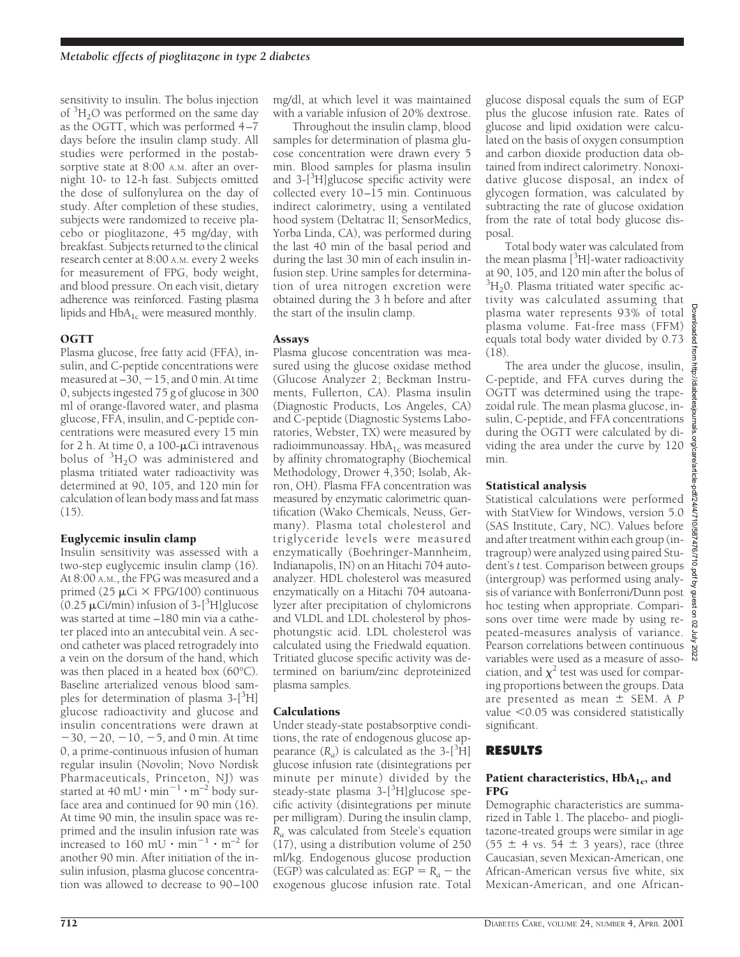sensitivity to insulin. The bolus injection of <sup>3</sup> H2O was performed on the same day as the OGTT, which was performed 4–7 days before the insulin clamp study. All studies were performed in the postabsorptive state at 8:00 A.M. after an overnight 10- to 12-h fast. Subjects omitted the dose of sulfonylurea on the day of study. After completion of these studies, subjects were randomized to receive placebo or pioglitazone, 45 mg/day, with breakfast. Subjects returned to the clinical research center at 8:00 A.M. every 2 weeks for measurement of FPG, body weight, and blood pressure. On each visit, dietary adherence was reinforced. Fasting plasma lipids and  $HbA_{1c}$  were measured monthly.

# **OGTT**

Plasma glucose, free fatty acid (FFA), insulin, and C-peptide concentrations were measured at  $-30$ ,  $-15$ , and 0 min. At time 0, subjects ingested 75 g of glucose in 300 ml of orange-flavored water, and plasma glucose, FFA, insulin, and C-peptide concentrations were measured every 15 min for 2 h. At time 0, a  $100 - \mu$ Ci intravenous bolus of  ${}^{3}H_{2}O$  was administered and plasma tritiated water radioactivity was determined at 90, 105, and 120 min for calculation of lean body mass and fat mass (15).

# Euglycemic insulin clamp

Insulin sensitivity was assessed with a two-step euglycemic insulin clamp (16). At 8:00 A.M., the FPG was measured and a primed (25  $\mu$ Ci  $\times$  FPG/100) continuous  $(0.25 \,\mu\text{Ci/min})$  infusion of 3-[<sup>3</sup>H]glucose was started at time –180 min via a catheter placed into an antecubital vein. A second catheter was placed retrogradely into a vein on the dorsum of the hand, which was then placed in a heated box (60°C). Baseline arterialized venous blood samples for determination of plasma 3-[<sup>3</sup>H] glucose radioactivity and glucose and insulin concentrations were drawn at  $-30, -20, -10, -5,$  and 0 min. At time 0, a prime-continuous infusion of human regular insulin (Novolin; Novo Nordisk Pharmaceuticals, Princeton, NJ) was started at 40 mU  $\cdot$  min<sup>-1</sup>  $\cdot$  m<sup>-2</sup> body surface area and continued for 90 min (16). At time 90 min, the insulin space was reprimed and the insulin infusion rate was increased to 160 mU  $\cdot$  min<sup>-1</sup>  $\cdot$  m<sup>-2</sup> for another 90 min. After initiation of the insulin infusion, plasma glucose concentration was allowed to decrease to 90–100

mg/dl, at which level it was maintained with a variable infusion of 20% dextrose.

Throughout the insulin clamp, blood samples for determination of plasma glucose concentration were drawn every 5 min. Blood samples for plasma insulin and 3-<sup>[3</sup>H]glucose specific activity were collected every 10–15 min. Continuous indirect calorimetry, using a ventilated hood system (Deltatrac II; SensorMedics, Yorba Linda, CA), was performed during the last 40 min of the basal period and during the last 30 min of each insulin infusion step. Urine samples for determination of urea nitrogen excretion were obtained during the 3 h before and after the start of the insulin clamp.

# Assays

Plasma glucose concentration was measured using the glucose oxidase method (Glucose Analyzer 2; Beckman Instruments, Fullerton, CA). Plasma insulin (Diagnostic Products, Los Angeles, CA) and C-peptide (Diagnostic Systems Laboratories, Webster, TX) were measured by radioimmunoassay.  $HbA_{1c}$  was measured by affinity chromatography (Biochemical Methodology, Drower 4,350; Isolab, Akron, OH). Plasma FFA concentration was measured by enzymatic calorimetric quantification (Wako Chemicals, Neuss, Germany). Plasma total cholesterol and triglyceride levels were measured enzymatically (Boehringer-Mannheim, Indianapolis, IN) on an Hitachi 704 autoanalyzer. HDL cholesterol was measured enzymatically on a Hitachi 704 autoanalyzer after precipitation of chylomicrons and VLDL and LDL cholesterol by phosphotungstic acid. LDL cholesterol was calculated using the Friedwald equation. Tritiated glucose specific activity was determined on barium/zinc deproteinized plasma samples.

# Calculations

Under steady-state postabsorptive conditions, the rate of endogenous glucose appearance  $(R_a)$  is calculated as the 3- $[{}^3\text{H}]$ glucose infusion rate (disintegrations per minute per minute) divided by the steady-state plasma 3-[<sup>3</sup>H]glucose specific activity (disintegrations per minute per milligram). During the insulin clamp, *Ra* was calculated from Steele's equation (17), using a distribution volume of 250 ml/kg. Endogenous glucose production (EGP) was calculated as:  $EGP = R<sub>a</sub> - the$ exogenous glucose infusion rate. Total

glucose disposal equals the sum of EGP plus the glucose infusion rate. Rates of glucose and lipid oxidation were calculated on the basis of oxygen consumption and carbon dioxide production data obtained from indirect calorimetry. Nonoxidative glucose disposal, an index of glycogen formation, was calculated by subtracting the rate of glucose oxidation from the rate of total body glucose disposal.

Total body water was calculated from the mean plasma [<sup>3</sup>H]-water radioactivity at 90, 105, and 120 min after the bolus of  ${}^{3}H_{2}$ 0. Plasma tritiated water specific activity was calculated assuming that plasma water represents 93% of total plasma volume. Fat-free mass (FFM) equals total body water divided by 0.73 (18).

The area under the glucose, insulin, http://diabetesjournals.org/care/article C-peptide, and FFA curves during the OGTT was determined using the trapezoidal rule. The mean plasma glucose, insulin, C-peptide, and FFA concentrations during the OGTT were calculated by dividing the area under the curve by 120 min.

# Statistical analysis

pdf/24/4/710/587476/710.pdf by guest on 02 July Statistical calculations were performed with StatView for Windows, version 5.0 (SAS Institute, Cary, NC). Values before and after treatment within each group (intragroup) were analyzed using paired Student's *t* test. Comparison between groups (intergroup) was performed using analysis of variance with Bonferroni/Dunn post hoc testing when appropriate. Comparisons over time were made by using repeated-measures analysis of variance. Pearson correlations between continuous 2022 variables were used as a measure of association, and  $\chi^2$  test was used for comparing proportions between the groups. Data are presented as mean  $\pm$  SEM. A *P* value  $<$  0.05 was considered statistically significant.

# **RESULTS**

#### Patient characteristics,  $HbA_{1c}$ , and FPG

Demographic characteristics are summarized in Table 1. The placebo- and pioglitazone-treated groups were similar in age  $(55 \pm 4 \text{ vs. } 54 \pm 3 \text{ years})$ , race (three Caucasian, seven Mexican-American, one African-American versus five white, six Mexican-American, and one AfricanDownloaded from http://diabetesjournals.org/care/article-pdf/24/4/710/587476/710.pdf by guest on 02 July 2022

loaded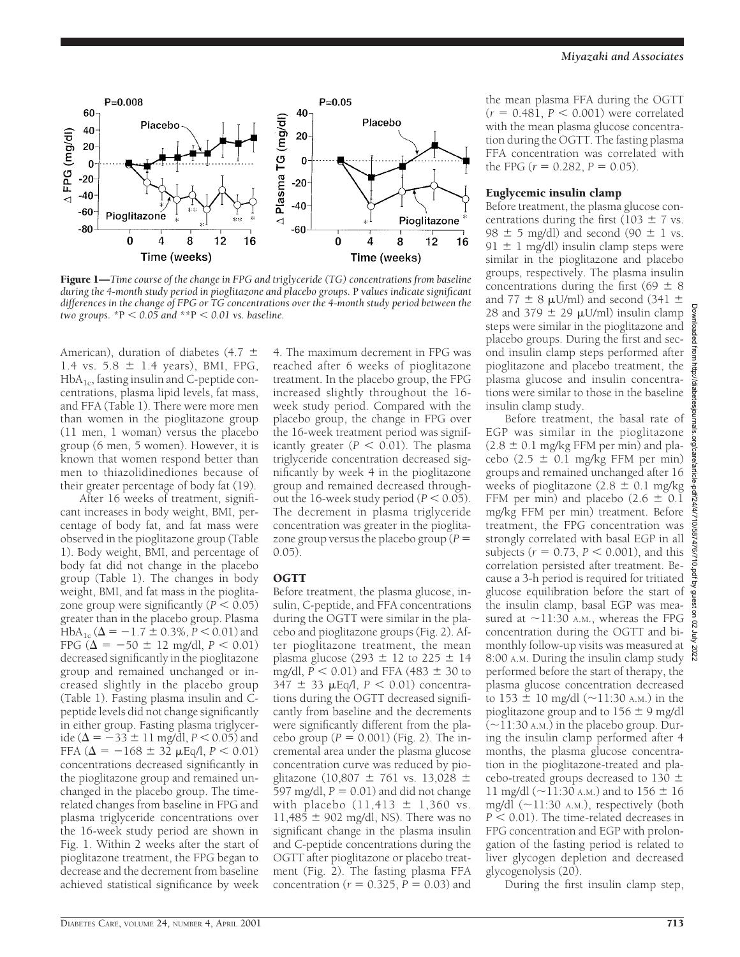

Figure 1—*Time course of the change in FPG and triglyceride (TG) concentrations from baseline during the 4-month study period in pioglitazone and placebo groups.* P *values indicate significant differences in the change of FPG or TG concentrations over the 4-month study period between the two groups.*  $*P < 0.05$  *and*  $*P < 0.01$  *vs. baseline.* 

American), duration of diabetes (4.7  $\pm$ 1.4 vs.  $5.8 \pm 1.4$  years), BMI, FPG,  $HbA<sub>1c</sub>$ , fasting insulin and C-peptide concentrations, plasma lipid levels, fat mass, and FFA (Table 1). There were more men than women in the pioglitazone group (11 men, 1 woman) versus the placebo group (6 men, 5 women). However, it is known that women respond better than men to thiazolidinediones because of their greater percentage of body fat (19).

After 16 weeks of treatment, significant increases in body weight, BMI, percentage of body fat, and fat mass were observed in the pioglitazone group (Table 1). Body weight, BMI, and percentage of body fat did not change in the placebo group (Table 1). The changes in body weight, BMI, and fat mass in the pioglitazone group were significantly  $(P < 0.05)$ greater than in the placebo group. Plasma HbA<sub>1c</sub> ( $\Delta$  = -1.7  $\pm$  0.3%, *P* < 0.01) and FPG ( $\Delta = -50 \pm 12$  mg/dl,  $P < 0.01$ ) decreased significantly in the pioglitazone group and remained unchanged or increased slightly in the placebo group (Table 1). Fasting plasma insulin and Cpeptide levels did not change significantly in either group. Fasting plasma triglyceride ( $\Delta = -33 \pm 11$  mg/dl, *P* < 0.05) and FFA ( $\Delta = -168 \pm 32$   $\mu$ Eq/l,  $P < 0.01$ ) concentrations decreased significantly in the pioglitazone group and remained unchanged in the placebo group. The timerelated changes from baseline in FPG and plasma triglyceride concentrations over the 16-week study period are shown in Fig. 1. Within 2 weeks after the start of pioglitazone treatment, the FPG began to decrease and the decrement from baseline achieved statistical significance by week

4. The maximum decrement in FPG was reached after 6 weeks of pioglitazone treatment. In the placebo group, the FPG increased slightly throughout the 16 week study period. Compared with the placebo group, the change in FPG over the 16-week treatment period was significantly greater  $(P < 0.01)$ . The plasma triglyceride concentration decreased significantly by week 4 in the pioglitazone group and remained decreased throughout the 16-week study period  $(P < 0.05)$ . The decrement in plasma triglyceride concentration was greater in the pioglitazone group versus the placebo group  $(P =$ 0.05).

# **OGTT**

Before treatment, the plasma glucose, insulin, C-peptide, and FFA concentrations during the OGTT were similar in the placebo and pioglitazone groups (Fig. 2). After pioglitazone treatment, the mean plasma glucose (293  $\pm$  12 to 225  $\pm$  14 mg/dl,  $P < 0.01$ ) and FFA (483  $\pm$  30 to  $347 \pm 33$   $\mu$ Eq/l,  $P < 0.01$ ) concentrations during the OGTT decreased significantly from baseline and the decrements were significantly different from the placebo group ( $P = 0.001$ ) (Fig. 2). The incremental area under the plasma glucose concentration curve was reduced by pioglitazone (10,807  $\pm$  761 vs. 13,028  $\pm$ 597 mg/dl,  $P = 0.01$ ) and did not change with placebo  $(11, 413 \pm 1, 360 \text{ vs.}$ 11,485  $\pm$  902 mg/dl, NS). There was no significant change in the plasma insulin and C-peptide concentrations during the OGTT after pioglitazone or placebo treatment (Fig. 2). The fasting plasma FFA concentration ( $r = 0.325$ ,  $P = 0.03$ ) and

the mean plasma FFA during the OGTT  $(r = 0.48\dot{1}, P < 0.001)$  were correlated with the mean plasma glucose concentration during the OGTT. The fasting plasma FFA concentration was correlated with the FPG  $(r = 0.282, P = 0.05)$ .

### Euglycemic insulin clamp

Before treatment, the plasma glucose concentrations during the first (103  $\pm$  7 vs. 98  $\pm$  5 mg/dl) and second (90  $\pm$  1 vs. 91  $\pm$  1 mg/dl) insulin clamp steps were similar in the pioglitazone and placebo groups, respectively. The plasma insulin concentrations during the first (69  $\pm$  8 and 77  $\pm$  8  $\mu$ U/ml) and second (341  $\pm$ 28 and 379  $\pm$  29  $\mu$ U/ml) insulin clamp steps were similar in the pioglitazone and placebo groups. During the first and second insulin clamp steps performed after pioglitazone and placebo treatment, the plasma glucose and insulin concentrations were similar to those in the baseline insulin clamp study.

Before treatment, the basal rate of EGP was similar in the pioglitazone  $(2.8 \pm 0.1 \text{ mg/kg FFM per min})$  and placebo (2.5  $\pm$  0.1 mg/kg FFM per min) groups and remained unchanged after 16 weeks of pioglitazone  $(2.8 \pm 0.1 \text{ mg/kg})$ FFM per min) and placebo (2.6  $\pm$  0.1 mg/kg FFM per min) treatment. Before treatment, the FPG concentration was strongly correlated with basal EGP in all subjects ( $r = 0.73$ ,  $P < 0.001$ ), and this correlation persisted after treatment. Because a 3-h period is required for tritiated glucose equilibration before the start of the insulin clamp, basal EGP was measured at  $\sim$ 11:30 A.M., whereas the FPG concentration during the OGTT and bimonthly follow-up visits was measured at 8:00 A.M. During the insulin clamp study performed before the start of therapy, the plasma glucose concentration decreased to 153  $\pm$  10 mg/dl ( $\sim$ 11:30 A.M.) in the pioglitazone group and to  $156 \pm 9$  mg/dl  $(-11:30 \text{ A.M.})$  in the placebo group. During the insulin clamp performed after 4 months, the plasma glucose concentration in the pioglitazone-treated and placebo-treated groups decreased to 130  $\pm$ 11 mg/dl ( $\sim$ 11:30 A.M.) and to 156  $\pm$  16 mg/dl  $(\sim 11:30 \text{ A.M.})$ , respectively (both  $P < 0.01$ ). The time-related decreases in FPG concentration and EGP with prolongation of the fasting period is related to liver glycogen depletion and decreased glycogenolysis (20).

During the first insulin clamp step,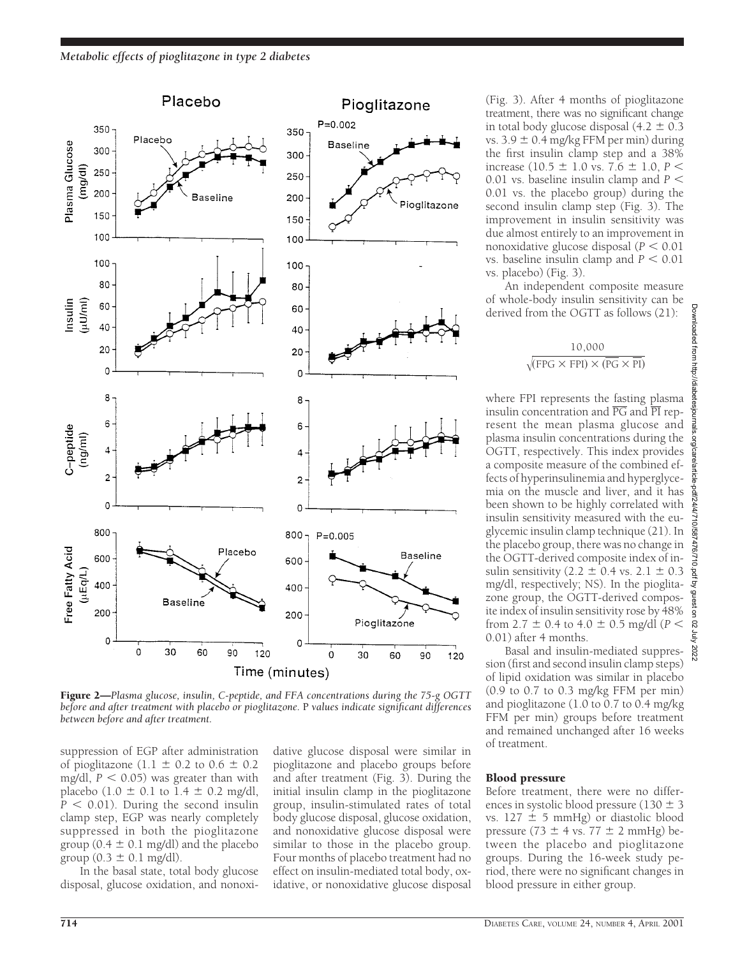

Figure 2—*Plasma glucose, insulin, C-peptide, and FFA concentrations during the 75-g OGTT before and after treatment with placebo or pioglitazone.* P *values indicate significant differences between before and after treatment.*

suppression of EGP after administration of pioglitazone (1.1  $\pm$  0.2 to 0.6  $\pm$  0.2 mg/dl,  $P < 0.05$ ) was greater than with placebo  $(1.0 \pm 0.1 \text{ to } 1.4 \pm 0.2 \text{ mg/dl})$ ,  $P < 0.01$ ). During the second insulin clamp step, EGP was nearly completely suppressed in both the pioglitazone group ( $0.4 \pm 0.1$  mg/dl) and the placebo group  $(0.3 \pm 0.1 \text{ mg/dl}).$ 

In the basal state, total body glucose disposal, glucose oxidation, and nonoxidative glucose disposal were similar in pioglitazone and placebo groups before and after treatment (Fig. 3). During the initial insulin clamp in the pioglitazone group, insulin-stimulated rates of total body glucose disposal, glucose oxidation, and nonoxidative glucose disposal were similar to those in the placebo group. Four months of placebo treatment had no effect on insulin-mediated total body, oxidative, or nonoxidative glucose disposal

(Fig. 3). After 4 months of pioglitazone treatment, there was no significant change in total body glucose disposal  $(4.2 \pm 0.3)$ vs.  $3.9 \pm 0.4$  mg/kg FFM per min) during the first insulin clamp step and a 38% increase (10.5  $\pm$  1.0 vs. 7.6  $\pm$  1.0, *P* < 0.01 vs. baseline insulin clamp and  $P \leq$ 0.01 vs. the placebo group) during the second insulin clamp step (Fig. 3). The improvement in insulin sensitivity was due almost entirely to an improvement in nonoxidative glucose disposal  $(P < 0.01)$ vs. baseline insulin clamp and  $P < 0.01$ vs. placebo) (Fig. 3).

An independent composite measure of whole-body insulin sensitivity can be derived from the OGTT as follows (21):

$$
\frac{10,000}{\sqrt{\text{(FPG X FPI)} \times (\overline{\text{PG}} \times \overline{\text{PI}})}}
$$

where FPI represents the fasting plasma insulin concentration and  $\overline{PG}$  and  $\overline{PI}$  represent the mean plasma glucose and plasma insulin concentrations during the OGTT, respectively. This index provides a composite measure of the combined effects of hyperinsulinemia and hyperglycemia on the muscle and liver, and it has been shown to be highly correlated with insulin sensitivity measured with the euglycemic insulin clamp technique (21). In the placebo group, there was no change in the OGTT-derived composite index of insulin sensitivity (2.2  $\pm$  0.4 vs. 2.1  $\pm$  0.3 mg/dl, respectively; NS). In the pioglitazone group, the OGTT-derived composite index of insulin sensitivity rose by 48% from 2.7  $\pm$  0.4 to 4.0  $\pm$  0.5 mg/dl (*P* < 0.01) after 4 months.

Basal and insulin-mediated suppression (first and second insulin clamp steps) of lipid oxidation was similar in placebo (0.9 to 0.7 to 0.3 mg/kg FFM per min) and pioglitazone (1.0 to 0.7 to 0.4 mg/kg FFM per min) groups before treatment and remained unchanged after 16 weeks of treatment.

#### Blood pressure

Before treatment, there were no differences in systolic blood pressure (130  $\pm$  3 vs.  $127 \pm 5$  mmHg) or diastolic blood pressure (73  $\pm$  4 vs. 77  $\pm$  2 mmHg) between the placebo and pioglitazone groups. During the 16-week study period, there were no significant changes in blood pressure in either group.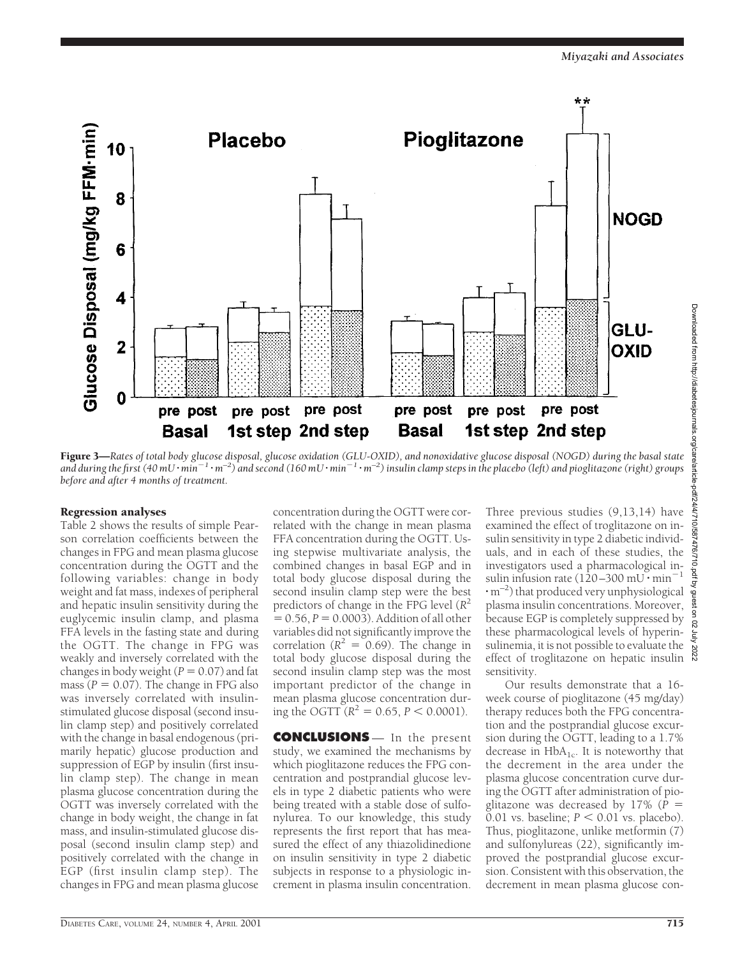

Figure 3—*Rates of total body glucose disposal, glucose oxidation (GLU-OXID), and nonoxidative glucose disposal (NOGD) during the basal state* and during the first (40 mU $\cdot$ min<sup>-1</sup> $\cdot$ m<sup>-2</sup>) and second (160 mU $\cdot$ min<sup>-1</sup> $\cdot$ m<sup>-2</sup>) insulin clamp steps in the placebo (left) and pioglitazone (right) groups *before and after 4 months of treatment.*

#### Regression analyses

Table 2 shows the results of simple Pearson correlation coefficients between the changes in FPG and mean plasma glucose concentration during the OGTT and the following variables: change in body weight and fat mass, indexes of peripheral and hepatic insulin sensitivity during the euglycemic insulin clamp, and plasma FFA levels in the fasting state and during the OGTT. The change in FPG was weakly and inversely correlated with the changes in body weight  $(P = 0.07)$  and fat mass ( $P = 0.07$ ). The change in FPG also was inversely correlated with insulinstimulated glucose disposal (second insulin clamp step) and positively correlated with the change in basal endogenous (primarily hepatic) glucose production and suppression of EGP by insulin (first insulin clamp step). The change in mean plasma glucose concentration during the OGTT was inversely correlated with the change in body weight, the change in fat mass, and insulin-stimulated glucose disposal (second insulin clamp step) and positively correlated with the change in EGP (first insulin clamp step). The changes in FPG and mean plasma glucose

concentration during the OGTT were correlated with the change in mean plasma FFA concentration during the OGTT. Using stepwise multivariate analysis, the combined changes in basal EGP and in total body glucose disposal during the second insulin clamp step were the best predictors of change in the FPG level  $(R^2)$  $= 0.56, P = 0.0003$ . Addition of all other variables did not significantly improve the correlation ( $R^2 = 0.69$ ). The change in total body glucose disposal during the second insulin clamp step was the most important predictor of the change in mean plasma glucose concentration during the OGTT ( $R^2 = 0.65$ ,  $P < 0.0001$ ).

**CONCLUSIONS** — In the present study, we examined the mechanisms by which pioglitazone reduces the FPG concentration and postprandial glucose levels in type 2 diabetic patients who were being treated with a stable dose of sulfonylurea. To our knowledge, this study represents the first report that has measured the effect of any thiazolidinedione on insulin sensitivity in type 2 diabetic subjects in response to a physiologic increment in plasma insulin concentration.

Three previous studies (9,13,14) have examined the effect of troglitazone on insulin sensitivity in type 2 diabetic individuals, and in each of these studies, the investigators used a pharmacological insulin infusion rate ( $120-300$  mU  $\cdot$  min<sup>-</sup>  $\cdot$ m<sup>-2</sup>) that produced very unphysiological plasma insulin concentrations. Moreover, because EGP is completely suppressed by these pharmacological levels of hyperinsulinemia, it is not possible to evaluate the effect of troglitazone on hepatic insulin sensitivity.

Our results demonstrate that a 16 week course of pioglitazone (45 mg/day) therapy reduces both the FPG concentration and the postprandial glucose excursion during the OGTT, leading to a 1.7% decrease in  $HbA_{1c}$ . It is noteworthy that the decrement in the area under the plasma glucose concentration curve during the OGTT after administration of pioglitazone was decreased by  $17\%$  ( $P =$ 0.01 vs. baseline;  $P < 0.01$  vs. placebo). Thus, pioglitazone, unlike metformin (7) and sulfonylureas (22), significantly improved the postprandial glucose excursion. Consistent with this observation, the decrement in mean plasma glucose con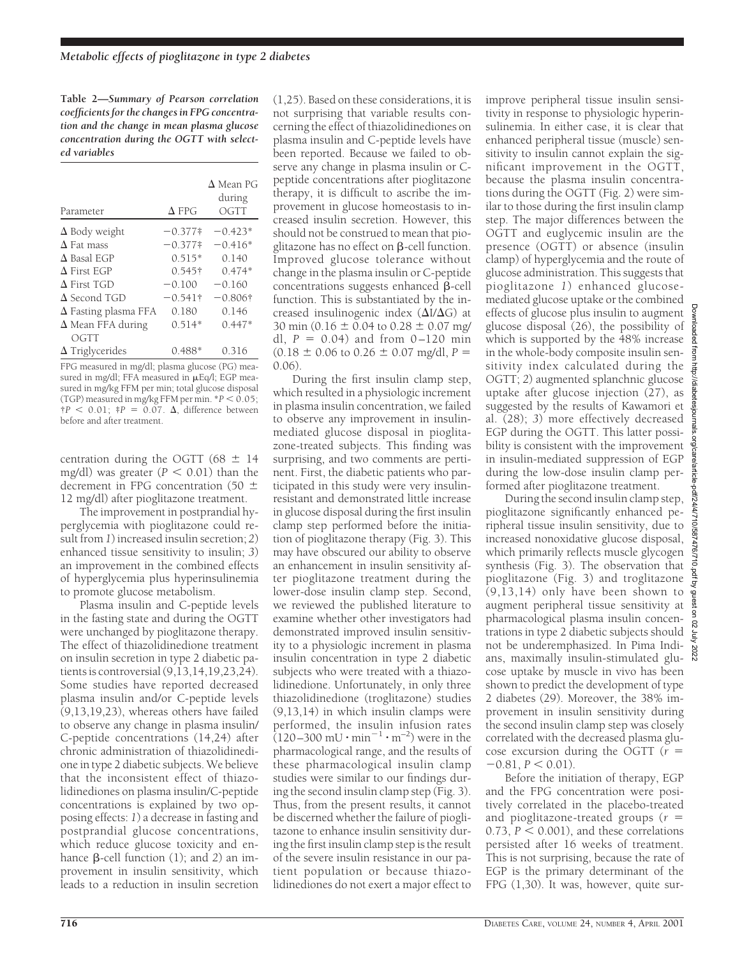**Table 2—***Summary of Pearson correlation coefficients for the changes in FPG concentration and the change in mean plasma glucose concentration during the OGTT with selected variables*

| Parameter                   | $\Delta$ FPG | $\Delta$ Mean PG<br>during<br>OGTT |
|-----------------------------|--------------|------------------------------------|
| $\Delta$ Body weight        | $-0.377*$    | $-0.423*$                          |
| $\Delta$ Fat mass           | $-0.377*$    | $-0.416*$                          |
| $\Delta$ Basal EGP          | $0.515*$     | 0.140                              |
| $\Delta$ First EGP          | $0.545$ †    | $0.474*$                           |
| $\Delta$ First TGD          | $-0.100$     | $-0.160$                           |
| $\Delta$ Second TGD         | $-0.541$ †   | $-0.806\dagger$                    |
| $\Delta$ Fasting plasma FFA | 0.180        | 0.146                              |
| $\Delta$ Mean FFA during    | $0.514*$     | $0.447*$                           |
| OGTT                        |              |                                    |
| $\Delta$ Triglycerides      | 0.488        | 0.316                              |

FPG measured in mg/dl; plasma glucose (PG) measured in mg/dl; FFA measured in  $\mu$ Eq/l; EGP measured in mg/kg FFM per min; total glucose disposal (TGP) measured in mg/kg FFM per min.  $*P < 0.05$ ;  $\uparrow P$  < 0.01;  $\uparrow P$  = 0.07.  $\Delta$ , difference between before and after treatment.

centration during the OGTT (68  $\pm$  14 mg/dl) was greater  $(P < 0.01)$  than the decrement in FPG concentration (50  $\pm$ 12 mg/dl) after pioglitazone treatment.

The improvement in postprandial hyperglycemia with pioglitazone could result from *1*) increased insulin secretion; *2*) enhanced tissue sensitivity to insulin; *3*) an improvement in the combined effects of hyperglycemia plus hyperinsulinemia to promote glucose metabolism.

Plasma insulin and C-peptide levels in the fasting state and during the OGTT were unchanged by pioglitazone therapy. The effect of thiazolidinedione treatment on insulin secretion in type 2 diabetic patients is controversial (9,13,14,19,23,24). Some studies have reported decreased plasma insulin and/or C-peptide levels (9,13,19,23), whereas others have failed to observe any change in plasma insulin/ C-peptide concentrations (14,24) after chronic administration of thiazolidinedione in type 2 diabetic subjects. We believe that the inconsistent effect of thiazolidinediones on plasma insulin/C-peptide concentrations is explained by two opposing effects: *1*) a decrease in fasting and postprandial glucose concentrations, which reduce glucose toxicity and enhance  $\beta$ -cell function (1); and 2) an improvement in insulin sensitivity, which leads to a reduction in insulin secretion

(1,25). Based on these considerations, it is not surprising that variable results concerning the effect of thiazolidinediones on plasma insulin and C-peptide levels have been reported. Because we failed to observe any change in plasma insulin or Cpeptide concentrations after pioglitazone therapy, it is difficult to ascribe the improvement in glucose homeostasis to increased insulin secretion. However, this should not be construed to mean that pioglitazone has no effect on  $\beta$ -cell function. Improved glucose tolerance without change in the plasma insulin or C-peptide concentrations suggests enhanced  $\beta$ -cell function. This is substantiated by the increased insulinogenic index  $(\Delta I/\Delta G)$  at 30 min (0.16  $\pm$  0.04 to 0.28  $\pm$  0.07 mg/ dl,  $P = 0.04$  and from  $0-120$  min  $(0.18 \pm 0.06 \text{ to } 0.26 \pm 0.07 \text{ mg/dl}, P =$ 0.06).

During the first insulin clamp step, which resulted in a physiologic increment in plasma insulin concentration, we failed to observe any improvement in insulinmediated glucose disposal in pioglitazone-treated subjects. This finding was surprising, and two comments are pertinent. First, the diabetic patients who participated in this study were very insulinresistant and demonstrated little increase in glucose disposal during the first insulin clamp step performed before the initiation of pioglitazone therapy (Fig. 3). This may have obscured our ability to observe an enhancement in insulin sensitivity after pioglitazone treatment during the lower-dose insulin clamp step. Second, we reviewed the published literature to examine whether other investigators had demonstrated improved insulin sensitivity to a physiologic increment in plasma insulin concentration in type 2 diabetic subjects who were treated with a thiazolidinedione. Unfortunately, in only three thiazolidinedione (troglitazone) studies (9,13,14) in which insulin clamps were performed, the insulin infusion rates  $(120-300 \text{ mU} \cdot \text{min}^{-1} \cdot \text{m}^{-2})$  were in the pharmacological range, and the results of these pharmacological insulin clamp studies were similar to our findings during the second insulin clamp step (Fig. 3). Thus, from the present results, it cannot be discerned whether the failure of pioglitazone to enhance insulin sensitivity during the first insulin clamp step is the result of the severe insulin resistance in our patient population or because thiazolidinediones do not exert a major effect to

improve peripheral tissue insulin sensitivity in response to physiologic hyperinsulinemia. In either case, it is clear that enhanced peripheral tissue (muscle) sensitivity to insulin cannot explain the significant improvement in the OGTT, because the plasma insulin concentrations during the OGTT (Fig. 2) were similar to those during the first insulin clamp step. The major differences between the OGTT and euglycemic insulin are the presence (OGTT) or absence (insulin clamp) of hyperglycemia and the route of glucose administration. This suggests that pioglitazone *1*) enhanced glucosemediated glucose uptake or the combined effects of glucose plus insulin to augment glucose disposal (26), the possibility of which is supported by the 48% increase  $\frac{8}{9}$ in the whole-body composite insulin sensitivity index calculated during the OGTT; *2*) augmented splanchnic glucose uptake after glucose injection (27), as suggested by the results of Kawamori et al. (28); *3*) more effectively decreased EGP during the OGTT. This latter possibility is consistent with the improvement in insulin-mediated suppression of EGP during the low-dose insulin clamp performed after pioglitazone treatment.

During the second insulin clamp step, pioglitazone significantly enhanced peripheral tissue insulin sensitivity, due to increased nonoxidative glucose disposal, which primarily reflects muscle glycogen synthesis (Fig. 3). The observation that pioglitazone (Fig. 3) and troglitazone (9,13,14) only have been shown to augment peripheral tissue sensitivity at pharmacological plasma insulin concentrations in type 2 diabetic subjects should not be underemphasized. In Pima Indians, maximally insulin-stimulated glucose uptake by muscle in vivo has been shown to predict the development of type 2 diabetes (29). Moreover, the 38% improvement in insulin sensitivity during the second insulin clamp step was closely correlated with the decreased plasma glucose excursion during the OGTT  $(r =$  $-0.81, P < 0.01$ ).

Before the initiation of therapy, EGP and the FPG concentration were positively correlated in the placebo-treated and pioglitazone-treated groups  $(r =$ 0.73,  $P < 0.001$ ), and these correlations persisted after 16 weeks of treatment. This is not surprising, because the rate of EGP is the primary determinant of the FPG (1,30). It was, however, quite sur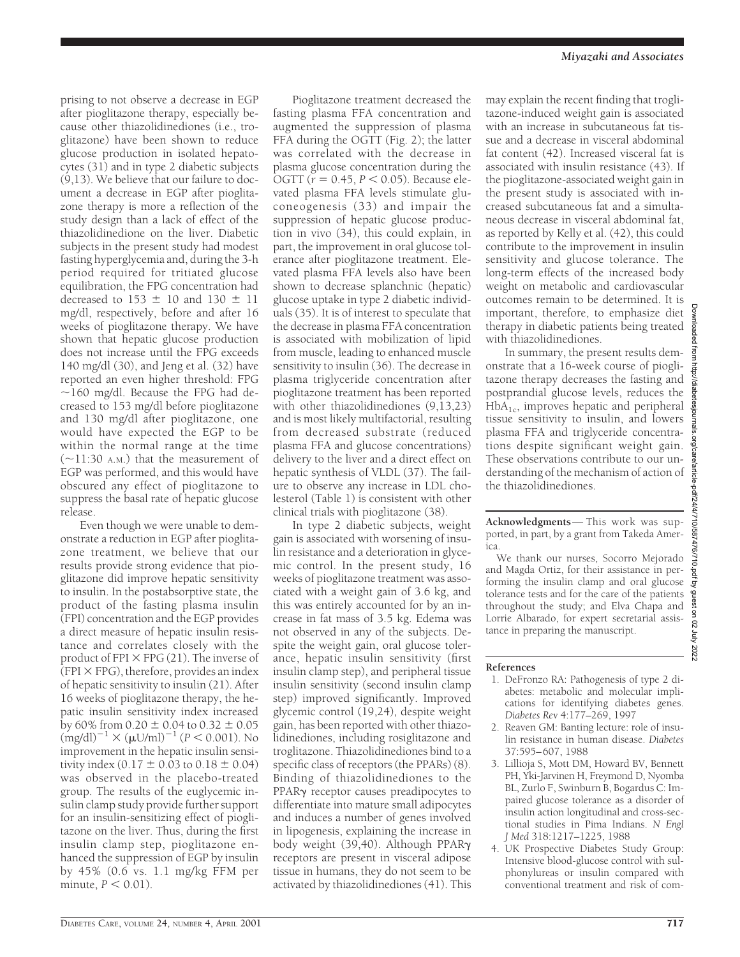prising to not observe a decrease in EGP after pioglitazone therapy, especially because other thiazolidinediones (i.e., troglitazone) have been shown to reduce glucose production in isolated hepatocytes (31) and in type 2 diabetic subjects (9,13). We believe that our failure to document a decrease in EGP after pioglitazone therapy is more a reflection of the study design than a lack of effect of the thiazolidinedione on the liver. Diabetic subjects in the present study had modest fasting hyperglycemia and, during the 3-h period required for tritiated glucose equilibration, the FPG concentration had decreased to 153  $\pm$  10 and 130  $\pm$  11 mg/dl, respectively, before and after 16 weeks of pioglitazone therapy. We have shown that hepatic glucose production does not increase until the FPG exceeds 140 mg/dl (30), and Jeng et al. (32) have reported an even higher threshold: FPG  $\sim$ 160 mg/dl. Because the FPG had decreased to 153 mg/dl before pioglitazone and 130 mg/dl after pioglitazone, one would have expected the EGP to be within the normal range at the time  $(\sim$ 11:30 A.M.) that the measurement of EGP was performed, and this would have obscured any effect of pioglitazone to suppress the basal rate of hepatic glucose release.

Even though we were unable to demonstrate a reduction in EGP after pioglitazone treatment, we believe that our results provide strong evidence that pioglitazone did improve hepatic sensitivity to insulin. In the postabsorptive state, the product of the fasting plasma insulin (FPI) concentration and the EGP provides a direct measure of hepatic insulin resistance and correlates closely with the product of FPI  $\times$  FPG (21). The inverse of  $(FPI \times FPG)$ , therefore, provides an index of hepatic sensitivity to insulin (21). After 16 weeks of pioglitazone therapy, the hepatic insulin sensitivity index increased by 60% from  $0.20 \pm 0.04$  to  $0.32 \pm 0.05$  $(mg/dl)^{-1} \times (\mu U/ml)^{-1}$  (*P* < 0.001). No improvement in the hepatic insulin sensitivity index  $(0.17 \pm 0.03 \text{ to } 0.18 \pm 0.04)$ was observed in the placebo-treated group. The results of the euglycemic insulin clamp study provide further support for an insulin-sensitizing effect of pioglitazone on the liver. Thus, during the first insulin clamp step, pioglitazone enhanced the suppression of EGP by insulin by 45% (0.6 vs. 1.1 mg/kg FFM per minute,  $P < 0.01$ ).

Pioglitazone treatment decreased the fasting plasma FFA concentration and augmented the suppression of plasma FFA during the OGTT (Fig. 2); the latter was correlated with the decrease in plasma glucose concentration during the OGTT ( $r = 0.45$ ,  $P < 0.05$ ). Because elevated plasma FFA levels stimulate gluconeogenesis (33) and impair the suppression of hepatic glucose production in vivo (34), this could explain, in part, the improvement in oral glucose tolerance after pioglitazone treatment. Elevated plasma FFA levels also have been shown to decrease splanchnic (hepatic) glucose uptake in type 2 diabetic individuals (35). It is of interest to speculate that the decrease in plasma FFA concentration is associated with mobilization of lipid from muscle, leading to enhanced muscle sensitivity to insulin (36). The decrease in plasma triglyceride concentration after pioglitazone treatment has been reported with other thiazolidinediones (9,13,23) and is most likely multifactorial, resulting from decreased substrate (reduced plasma FFA and glucose concentrations) delivery to the liver and a direct effect on hepatic synthesis of VLDL (37). The failure to observe any increase in LDL cholesterol (Table 1) is consistent with other clinical trials with pioglitazone (38).

In type 2 diabetic subjects, weight gain is associated with worsening of insulin resistance and a deterioration in glycemic control. In the present study, 16 weeks of pioglitazone treatment was associated with a weight gain of 3.6 kg, and this was entirely accounted for by an increase in fat mass of 3.5 kg. Edema was not observed in any of the subjects. Despite the weight gain, oral glucose tolerance, hepatic insulin sensitivity (first insulin clamp step), and peripheral tissue insulin sensitivity (second insulin clamp step) improved significantly. Improved glycemic control (19,24), despite weight gain, has been reported with other thiazolidinediones, including rosiglitazone and troglitazone. Thiazolidinediones bind to a specific class of receptors (the PPARs) (8). Binding of thiazolidinediones to the PPAR<sub>y</sub> receptor causes preadipocytes to differentiate into mature small adipocytes and induces a number of genes involved in lipogenesis, explaining the increase in body weight (39,40). Although PPARg receptors are present in visceral adipose tissue in humans, they do not seem to be activated by thiazolidinediones (41). This may explain the recent finding that troglitazone-induced weight gain is associated with an increase in subcutaneous fat tissue and a decrease in visceral abdominal fat content (42). Increased visceral fat is associated with insulin resistance (43). If the pioglitazone-associated weight gain in the present study is associated with increased subcutaneous fat and a simultaneous decrease in visceral abdominal fat, as reported by Kelly et al. (42), this could contribute to the improvement in insulin sensitivity and glucose tolerance. The long-term effects of the increased body weight on metabolic and cardiovascular outcomes remain to be determined. It is important, therefore, to emphasize diet therapy in diabetic patients being treated with thiazolidinediones.

In summary, the present results demonstrate that a 16-week course of pioglitazone therapy decreases the fasting and postprandial glucose levels, reduces the  $HbA_{1c}$ , improves hepatic and peripheral tissue sensitivity to insulin, and lowers plasma FFA and triglyceride concentrations despite significant weight gain. These observations contribute to our understanding of the mechanism of action of the thiazolidinediones.

**Acknowledgments**— This work was supported, in part, by a grant from Takeda America.

We thank our nurses, Socorro Mejorado and Magda Ortiz, for their assistance in performing the insulin clamp and oral glucose tolerance tests and for the care of the patients throughout the study; and Elva Chapa and Lorrie Albarado, for expert secretarial assistance in preparing the manuscript.

# **References**

- 1. DeFronzo RA: Pathogenesis of type 2 diabetes: metabolic and molecular implications for identifying diabetes genes. *Diabetes Rev* 4:177–269, 1997
- 2. Reaven GM: Banting lecture: role of insulin resistance in human disease. *Diabetes* 37:595–607, 1988
- 3. Lillioja S, Mott DM, Howard BV, Bennett PH, Yki-Jarvinen H, Freymond D, Nyomba BL, Zurlo F, Swinburn B, Bogardus C: Impaired glucose tolerance as a disorder of insulin action longitudinal and cross-sectional studies in Pima Indians. *N Engl J Med* 318:1217–1225, 1988
- 4. UK Prospective Diabetes Study Group: Intensive blood-glucose control with sulphonylureas or insulin compared with conventional treatment and risk of com-

Lou

http://diabe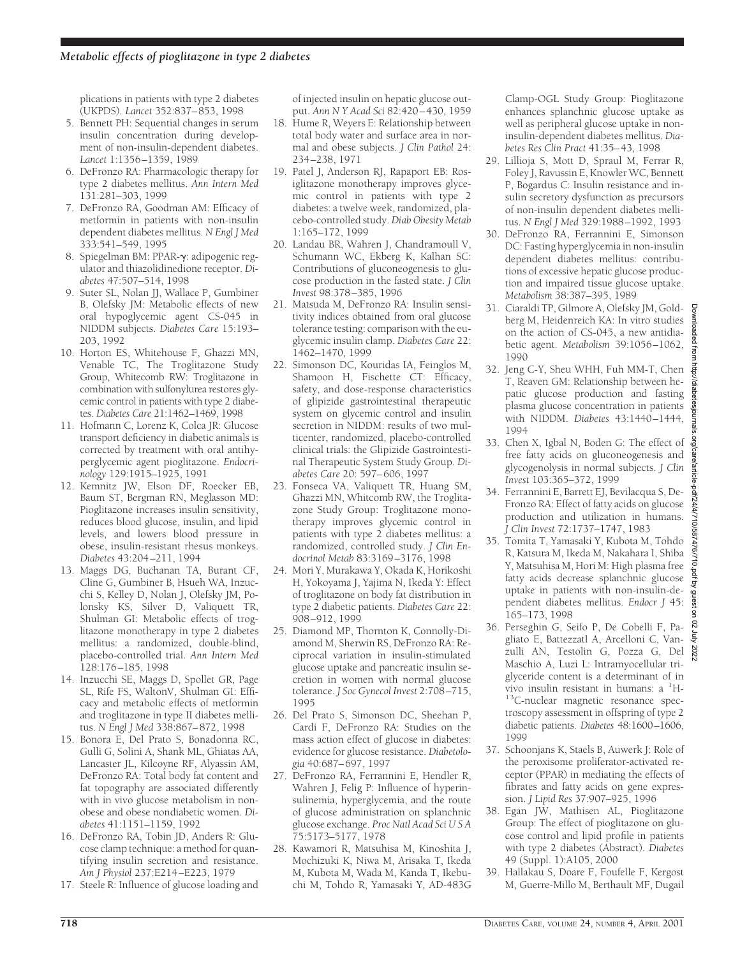plications in patients with type 2 diabetes (UKPDS). *Lancet* 352:837–853, 1998

- 5. Bennett PH: Sequential changes in serum insulin concentration during development of non-insulin-dependent diabetes. *Lancet* 1:1356–1359, 1989
- 6. DeFronzo RA: Pharmacologic therapy for type 2 diabetes mellitus. *Ann Intern Med* 131:281–303, 1999
- 7. DeFronzo RA, Goodman AM: Efficacy of metformin in patients with non-insulin dependent diabetes mellitus. *N Engl J Med* 333:541–549, 1995
- 8. Spiegelman BM: PPAR-y: adipogenic regulator and thiazolidinedione receptor. *Diabetes* 47:507–514, 1998
- 9. Suter SL, Nolan JJ, Wallace P, Gumbiner B, Olefsky JM: Metabolic effects of new oral hypoglycemic agent CS-045 in NIDDM subjects. *Diabetes Care* 15:193– 203, 1992
- 10. Horton ES, Whitehouse F, Ghazzi MN, Venable TC, The Troglitazone Study Group, Whitecomb RW: Troglitazone in combination with sulfonylurea restores glycemic control in patients with type 2 diabetes. *Diabetes Care* 21:1462–1469, 1998
- 11. Hofmann C, Lorenz K, Colca JR: Glucose transport deficiency in diabetic animals is corrected by treatment with oral antihyperglycemic agent pioglitazone. *Endocrinology* 129:1915–1925, 1991
- 12. Kemnitz JW, Elson DF, Roecker EB, Baum ST, Bergman RN, Meglasson MD: Pioglitazone increases insulin sensitivity, reduces blood glucose, insulin, and lipid levels, and lowers blood pressure in obese, insulin-resistant rhesus monkeys. *Diabetes* 43:204–211, 1994
- 13. Maggs DG, Buchanan TA, Burant CF, Cline G, Gumbiner B, Hsueh WA, Inzucchi S, Kelley D, Nolan J, Olefsky JM, Polonsky KS, Silver D, Valiquett TR, Shulman GI: Metabolic effects of troglitazone monotherapy in type 2 diabetes mellitus: a randomized, double-blind, placebo-controlled trial. *Ann Intern Med* 128:176–185, 1998
- 14. Inzucchi SE, Maggs D, Spollet GR, Page SL, Rife FS, WaltonV, Shulman GI: Efficacy and metabolic effects of metformin and troglitazone in type II diabetes mellitus. *N Engl J Med* 338:867–872, 1998
- 15. Bonora E, Del Prato S, Bonadonna RC, Gulli G, Solini A, Shank ML, Ghiatas AA, Lancaster JL, Kilcoyne RF, Alyassin AM, DeFronzo RA: Total body fat content and fat topography are associated differently with in vivo glucose metabolism in nonobese and obese nondiabetic women. *Diabetes* 41:1151–1159, 1992
- 16. DeFronzo RA, Tobin JD, Anders R: Glucose clamp technique: a method for quantifying insulin secretion and resistance. *Am J Physiol* 237:E214–E223, 1979
- 17. Steele R: Influence of glucose loading and

of injected insulin on hepatic glucose output. *Ann N Y Acad Sci* 82:420–430, 1959

- 18. Hume R, Weyers E: Relationship between total body water and surface area in normal and obese subjects. *J Clin Pathol* 24: 234–238, 1971
- 19. Patel J, Anderson RJ, Rapaport EB: Rosiglitazone monotherapy improves glycemic control in patients with type 2 diabetes: a twelve week, randomized, placebo-controlled study.*Diab Obesity Metab* 1:165–172, 1999
- 20. Landau BR, Wahren J, Chandramoull V, Schumann WC, Ekberg K, Kalhan SC: Contributions of gluconeogenesis to glucose production in the fasted state. *J Clin Invest* 98:378–385, 1996
- 21. Matsuda M, DeFronzo RA: Insulin sensitivity indices obtained from oral glucose tolerance testing: comparison with the euglycemic insulin clamp. *Diabetes Care* 22: 1462–1470, 1999
- 22. Simonson DC, Kouridas IA, Feinglos M, Shamoon H, Fischette CT: Efficacy, safety, and dose-response characteristics of glipizide gastrointestinal therapeutic system on glycemic control and insulin secretion in NIDDM: results of two multicenter, randomized, placebo-controlled clinical trials: the Glipizide Gastrointestinal Therapeutic System Study Group. *Diabetes Care* 20: 597–606, 1997
- 23. Fonseca VA, Valiquett TR, Huang SM, Ghazzi MN, Whitcomb RW, the Troglitazone Study Group: Troglitazone monotherapy improves glycemic control in patients with type 2 diabetes mellitus: a randomized, controlled study. *J Clin Endocrinol Metab* 83:3169–3176, 1998
- 24. Mori Y, Murakawa Y, Okada K, Horikoshi H, Yokoyama J, Yajima N, Ikeda Y: Effect of troglitazone on body fat distribution in type 2 diabetic patients. *Diabetes Care* 22: 908–912, 1999
- 25. Diamond MP, Thornton K, Connolly-Diamond M, Sherwin RS, DeFronzo RA: Reciprocal variation in insulin-stimulated glucose uptake and pancreatic insulin secretion in women with normal glucose tolerance. *J Soc Gynecol Invest* 2:708–715, 1995
- 26. Del Prato S, Simonson DC, Sheehan P, Cardi F, DeFronzo RA: Studies on the mass action effect of glucose in diabetes: evidence for glucose resistance. *Diabetologia* 40:687–697, 1997
- 27. DeFronzo RA, Ferrannini E, Hendler R, Wahren J, Felig P: Influence of hyperinsulinemia, hyperglycemia, and the route of glucose administration on splanchnic glucose exchange. *Proc Natl Acad SciUSA* 75:5173–5177, 1978
- 28. Kawamori R, Matsuhisa M, Kinoshita J, Mochizuki K, Niwa M, Arisaka T, Ikeda M, Kubota M, Wada M, Kanda T, Ikebuchi M, Tohdo R, Yamasaki Y, AD-483G

Clamp-OGL Study Group: Pioglitazone enhances splanchnic glucose uptake as well as peripheral glucose uptake in noninsulin-dependent diabetes mellitus. *Diabetes Res Clin Pract* 41:35–43, 1998

- 29. Lillioja S, Mott D, Spraul M, Ferrar R, Foley J, Ravussin E, Knowler WC, Bennett P, Bogardus C: Insulin resistance and insulin secretory dysfunction as precursors of non-insulin dependent diabetes mellitus. *N Engl J Med* 329:1988–1992, 1993
- 30. DeFronzo RA, Ferrannini E, Simonson DC: Fasting hyperglycemia in non-insulin dependent diabetes mellitus: contributions of excessive hepatic glucose production and impaired tissue glucose uptake. *Metabolism* 38:387–395, 1989
- 31. Ciaraldi TP, Gilmore A, Olefsky JM, Goldberg M, Heidenreich KA: In vitro studies on the action of CS-045, a new antidiabetic agent. *Metabolism* 39:1056–1062, 1990
- 32. Jeng C-Y, Sheu WHH, Fuh MM-T, Chen T, Reaven GM: Relationship between hepatic glucose production and fasting plasma glucose concentration in patients with NIDDM. *Diabetes* 43:1440–1444, 1994
- 33. Chen X, Igbal N, Boden G: The effect of free fatty acids on gluconeogenesis and glycogenolysis in normal subjects. *J Clin Invest* 103:365–372, 1999
- 34. Ferrannini E, Barrett EJ, Bevilacqua S, De-Fronzo RA: Effect of fatty acids on glucose production and utilization in humans. *J Clin Invest* 72:1737–1747, 1983
- 35. Tomita T, Yamasaki Y, Kubota M, Tohdo R, Katsura M, Ikeda M, Nakahara I, Shiba Y, Matsuhisa M, Hori M: High plasma free fatty acids decrease splanchnic glucose uptake in patients with non-insulin-dependent diabetes mellitus. *Endocr J* 45: 165–173, 1998
- 36. Perseghin G, Seifo P, De Cobelli F, Pagliato E, Battezzatl A, Arcelloni C, Vanzulli AN, Testolin G, Pozza G, Del Maschio A, Luzi L: Intramyocellular triglyceride content is a determinant of in vivo insulin resistant in humans:  $a<sup>-1</sup>H-$ <sup>13</sup>C-nuclear magnetic resonance spectroscopy assessment in offspring of type 2 diabetic patients. *Diabetes* 48:1600–1606, 1999
- 37. Schoonjans K, Staels B, Auwerk J: Role of the peroxisome proliferator-activated receptor (PPAR) in mediating the effects of fibrates and fatty acids on gene expression. *J Lipid Res* 37:907–925, 1996
- 38. Egan JW, Mathisen AL, Pioglitazone Group: The effect of pioglitazone on glucose control and lipid profile in patients with type 2 diabetes (Abstract). *Diabetes* 49 (Suppl. 1):A105, 2000
- 39. Hallakau S, Doare F, Foufelle F, Kergost M, Guerre-Millo M, Berthault MF, Dugail